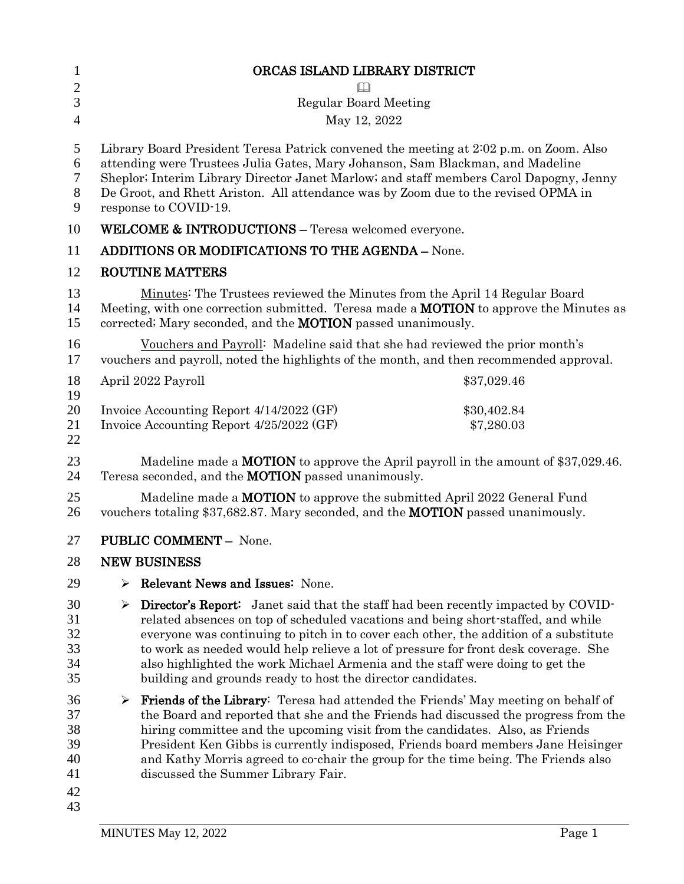| $\mathbf{1}$                                 | ORCAS ISLAND LIBRARY DISTRICT                                                                                                                                                                                                                                                                                                                                                                                                                                                                                      |
|----------------------------------------------|--------------------------------------------------------------------------------------------------------------------------------------------------------------------------------------------------------------------------------------------------------------------------------------------------------------------------------------------------------------------------------------------------------------------------------------------------------------------------------------------------------------------|
| $\overline{c}$                               |                                                                                                                                                                                                                                                                                                                                                                                                                                                                                                                    |
| 3                                            | <b>Regular Board Meeting</b>                                                                                                                                                                                                                                                                                                                                                                                                                                                                                       |
| $\overline{4}$                               | May 12, 2022                                                                                                                                                                                                                                                                                                                                                                                                                                                                                                       |
| 5<br>6<br>7<br>$8\phantom{1}$<br>9           | Library Board President Teresa Patrick convened the meeting at 2:02 p.m. on Zoom. Also<br>attending were Trustees Julia Gates, Mary Johanson, Sam Blackman, and Madeline<br>Sheplor; Interim Library Director Janet Marlow; and staff members Carol Dapogny, Jenny<br>De Groot, and Rhett Ariston. All attendance was by Zoom due to the revised OPMA in<br>response to COVID-19.                                                                                                                                  |
| 10                                           | <b>WELCOME &amp; INTRODUCTIONS - Teresa welcomed everyone.</b>                                                                                                                                                                                                                                                                                                                                                                                                                                                     |
| 11                                           | <b>ADDITIONS OR MODIFICATIONS TO THE AGENDA - None.</b>                                                                                                                                                                                                                                                                                                                                                                                                                                                            |
| 12                                           | <b>ROUTINE MATTERS</b>                                                                                                                                                                                                                                                                                                                                                                                                                                                                                             |
| 13<br>14<br>15                               | Minutes: The Trustees reviewed the Minutes from the April 14 Regular Board<br>Meeting, with one correction submitted. Teresa made a <b>MOTION</b> to approve the Minutes as<br>corrected; Mary seconded, and the <b>MOTION</b> passed unanimously.                                                                                                                                                                                                                                                                 |
| 16<br>17                                     | Vouchers and Payroll: Madeline said that she had reviewed the prior month's<br>vouchers and payroll, noted the highlights of the month, and then recommended approval.                                                                                                                                                                                                                                                                                                                                             |
| 18<br>19                                     | April 2022 Payroll<br>\$37,029.46                                                                                                                                                                                                                                                                                                                                                                                                                                                                                  |
| 20<br>21<br>22                               | Invoice Accounting Report 4/14/2022 (GF)<br>\$30,402.84<br>Invoice Accounting Report 4/25/2022 (GF)<br>\$7,280.03                                                                                                                                                                                                                                                                                                                                                                                                  |
| 23<br>24                                     | Madeline made a <b>MOTION</b> to approve the April payroll in the amount of \$37,029.46.<br>Teresa seconded, and the <b>MOTION</b> passed unanimously.                                                                                                                                                                                                                                                                                                                                                             |
| 25<br>26                                     | Madeline made a <b>MOTION</b> to approve the submitted April 2022 General Fund<br>vouchers totaling \$37,682.87. Mary seconded, and the <b>MOTION</b> passed unanimously.                                                                                                                                                                                                                                                                                                                                          |
| 27                                           | <b>PUBLIC COMMENT - None.</b>                                                                                                                                                                                                                                                                                                                                                                                                                                                                                      |
| 28                                           | <b>NEW BUSINESS</b>                                                                                                                                                                                                                                                                                                                                                                                                                                                                                                |
| 29                                           | Relevant News and Issues: None.<br>➤                                                                                                                                                                                                                                                                                                                                                                                                                                                                               |
| 30<br>31<br>32<br>33<br>34<br>35             | <b>Director's Report:</b> Janet said that the staff had been recently impacted by COVID-<br>➤<br>related absences on top of scheduled vacations and being short-staffed, and while<br>everyone was continuing to pitch in to cover each other, the addition of a substitute<br>to work as needed would help relieve a lot of pressure for front desk coverage. She<br>also highlighted the work Michael Armenia and the staff were doing to get the<br>building and grounds ready to host the director candidates. |
| 36<br>37<br>38<br>39<br>40<br>41<br>42<br>43 | <b>Friends of the Library:</b> Teresa had attended the Friends' May meeting on behalf of<br>➤<br>the Board and reported that she and the Friends had discussed the progress from the<br>hiring committee and the upcoming visit from the candidates. Also, as Friends<br>President Ken Gibbs is currently indisposed, Friends board members Jane Heisinger<br>and Kathy Morris agreed to co-chair the group for the time being. The Friends also<br>discussed the Summer Library Fair.                             |